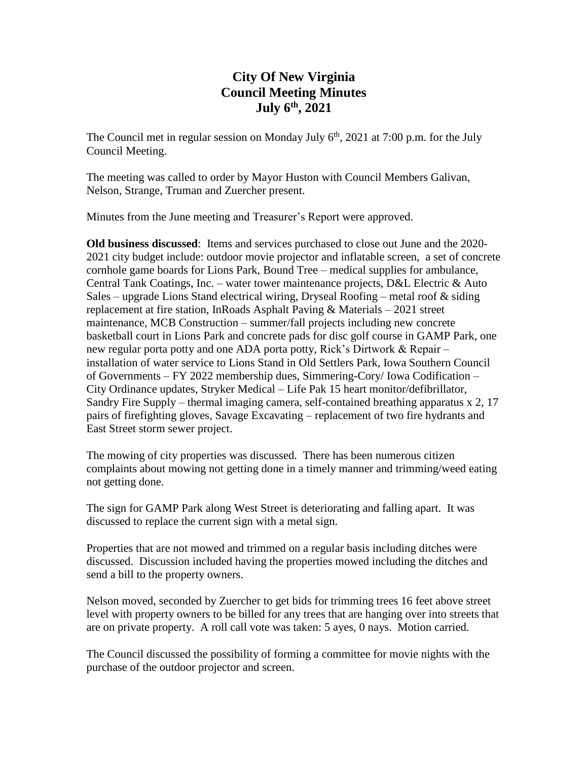# **City Of New Virginia Council Meeting Minutes July 6th , 2021**

The Council met in regular session on Monday July  $6<sup>th</sup>$ , 2021 at 7:00 p.m. for the July Council Meeting.

The meeting was called to order by Mayor Huston with Council Members Galivan, Nelson, Strange, Truman and Zuercher present.

Minutes from the June meeting and Treasurer's Report were approved.

**Old business discussed**: Items and services purchased to close out June and the 2020- 2021 city budget include: outdoor movie projector and inflatable screen, a set of concrete cornhole game boards for Lions Park, Bound Tree – medical supplies for ambulance, Central Tank Coatings, Inc. – water tower maintenance projects, D&L Electric & Auto Sales – upgrade Lions Stand electrical wiring, Dryseal Roofing – metal roof  $\&$  siding replacement at fire station, InRoads Asphalt Paving & Materials – 2021 street maintenance, MCB Construction – summer/fall projects including new concrete basketball court in Lions Park and concrete pads for disc golf course in GAMP Park, one new regular porta potty and one ADA porta potty, Rick's Dirtwork & Repair – installation of water service to Lions Stand in Old Settlers Park, Iowa Southern Council of Governments – FY 2022 membership dues, Simmering-Cory/ Iowa Codification – City Ordinance updates, Stryker Medical – Life Pak 15 heart monitor/defibrillator, Sandry Fire Supply – thermal imaging camera, self-contained breathing apparatus x 2, 17 pairs of firefighting gloves, Savage Excavating – replacement of two fire hydrants and East Street storm sewer project.

The mowing of city properties was discussed. There has been numerous citizen complaints about mowing not getting done in a timely manner and trimming/weed eating not getting done.

The sign for GAMP Park along West Street is deteriorating and falling apart. It was discussed to replace the current sign with a metal sign.

Properties that are not mowed and trimmed on a regular basis including ditches were discussed. Discussion included having the properties mowed including the ditches and send a bill to the property owners.

Nelson moved, seconded by Zuercher to get bids for trimming trees 16 feet above street level with property owners to be billed for any trees that are hanging over into streets that are on private property. A roll call vote was taken: 5 ayes, 0 nays. Motion carried.

The Council discussed the possibility of forming a committee for movie nights with the purchase of the outdoor projector and screen.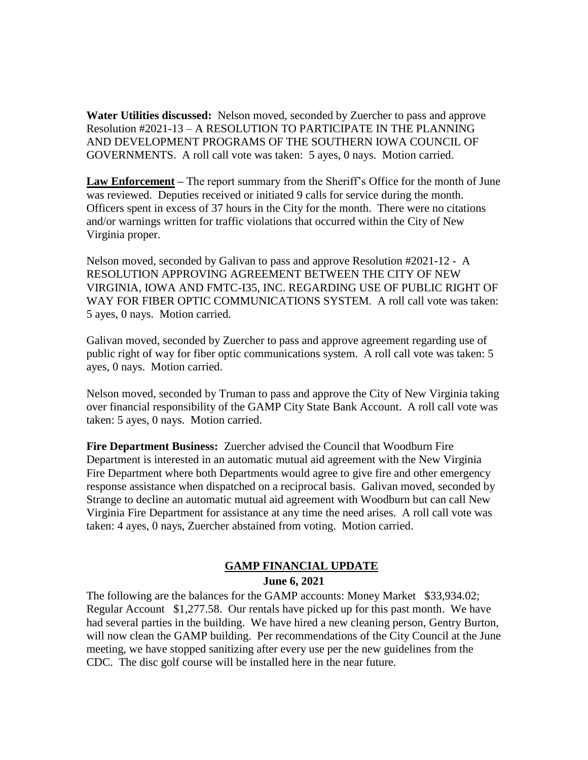**Water Utilities discussed:** Nelson moved, seconded by Zuercher to pass and approve Resolution #2021-13 – A RESOLUTION TO PARTICIPATE IN THE PLANNING AND DEVELOPMENT PROGRAMS OF THE SOUTHERN IOWA COUNCIL OF GOVERNMENTS. A roll call vote was taken: 5 ayes, 0 nays. Motion carried.

**Law Enforcement –** The report summary from the Sheriff's Office for the month of June was reviewed. Deputies received or initiated 9 calls for service during the month. Officers spent in excess of 37 hours in the City for the month. There were no citations and/or warnings written for traffic violations that occurred within the City of New Virginia proper.

Nelson moved, seconded by Galivan to pass and approve Resolution #2021-12 - A RESOLUTION APPROVING AGREEMENT BETWEEN THE CITY OF NEW VIRGINIA, IOWA AND FMTC-I35, INC. REGARDING USE OF PUBLIC RIGHT OF WAY FOR FIBER OPTIC COMMUNICATIONS SYSTEM. A roll call vote was taken: 5 ayes, 0 nays. Motion carried.

Galivan moved, seconded by Zuercher to pass and approve agreement regarding use of public right of way for fiber optic communications system. A roll call vote was taken: 5 ayes, 0 nays. Motion carried.

Nelson moved, seconded by Truman to pass and approve the City of New Virginia taking over financial responsibility of the GAMP City State Bank Account. A roll call vote was taken: 5 ayes, 0 nays. Motion carried.

**Fire Department Business:** Zuercher advised the Council that Woodburn Fire Department is interested in an automatic mutual aid agreement with the New Virginia Fire Department where both Departments would agree to give fire and other emergency response assistance when dispatched on a reciprocal basis. Galivan moved, seconded by Strange to decline an automatic mutual aid agreement with Woodburn but can call New Virginia Fire Department for assistance at any time the need arises. A roll call vote was taken: 4 ayes, 0 nays, Zuercher abstained from voting. Motion carried.

## **GAMP FINANCIAL UPDATE**

#### **June 6, 2021**

The following are the balances for the GAMP accounts: Money Market \$33,934.02; Regular Account \$1,277.58. Our rentals have picked up for this past month. We have had several parties in the building. We have hired a new cleaning person, Gentry Burton, will now clean the GAMP building. Per recommendations of the City Council at the June meeting, we have stopped sanitizing after every use per the new guidelines from the CDC. The disc golf course will be installed here in the near future.